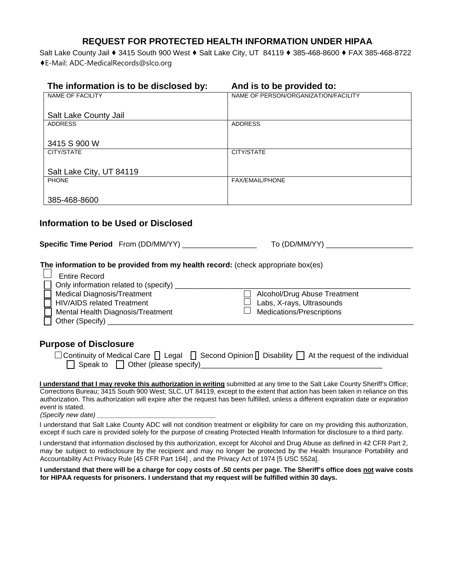## **REQUEST FOR PROTECTED HEALTH INFORMATION UNDER HIPAA**

Salt Lake County Jail ♦ 3415 South 900 West ♦ Salt Lake City, UT 84119 ♦ 385-468-8600 ♦ FAX 385-468-8722 ♦E-Mail: ADC-MedicalRecords@slco.org

| The information is to be disclosed by:                                           | And is to be provided to:            |
|----------------------------------------------------------------------------------|--------------------------------------|
| <b>NAME OF FACILITY</b>                                                          | NAME OF PERSON/ORGANIZATION/FACILITY |
|                                                                                  |                                      |
| Salt Lake County Jail                                                            |                                      |
| <b>ADDRESS</b>                                                                   | <b>ADDRESS</b>                       |
|                                                                                  |                                      |
| 3415 S 900 W                                                                     |                                      |
| CITY/STATE                                                                       | CITY/STATE                           |
|                                                                                  |                                      |
| Salt Lake City, UT 84119                                                         |                                      |
| <b>PHONE</b>                                                                     | <b>FAX/EMAIL/PHONE</b>               |
|                                                                                  |                                      |
| 385-468-8600                                                                     |                                      |
|                                                                                  |                                      |
|                                                                                  |                                      |
| Information to be Used or Disclosed                                              |                                      |
|                                                                                  |                                      |
| Specific Time Period From (DD/MM/YY) __________________                          | To (DD/MM/YY) _____________          |
|                                                                                  |                                      |
| The information to be provided from my health record: (check appropriate box(es) |                                      |

| <b>Entire Record</b>                  |                                  |
|---------------------------------------|----------------------------------|
| Only information related to (specify) |                                  |
| <b>Medical Diagnosis/Treatment</b>    | Alcohol/Drug Abuse Treatment     |
| <b>HIV/AIDS related Treatment</b>     | Labs, X-rays, Ultrasounds        |
| Mental Health Diagnosis/Treatment     | <b>Medications/Prescriptions</b> |
| Other (Specify) __                    |                                  |

## **Purpose of Disclosure**

|                                               | $\Box$ Continuity of Medical Care $\Box$ Legal $\Box$ Second Opinion $\Box$ Disability $\Box$ At the request of the individual |
|-----------------------------------------------|--------------------------------------------------------------------------------------------------------------------------------|
| $\Box$ Speak to $\Box$ Other (please specify) |                                                                                                                                |

**I understand that I may revoke this authorization in writing** submitted at any time to the Salt Lake County Sheriff's Office; Corrections Bureau; 3415 South 900 West; SLC, UT 84119, except to the extent that action has been taken in reliance on this authorization. This authorization will expire after the request has been fulfilled, unless a different expiration date or *expiration event* is stated.

*(Specify new date) \_\_\_\_\_\_\_\_\_\_\_\_\_\_\_\_\_\_\_\_\_\_\_\_\_\_\_\_\_\_\_\_*

I understand that Salt Lake County ADC will not condition treatment or eligibility for care on my providing this authorization, except if such care is provided solely for the purpose of creating Protected Health Information for disclosure to a third party.

I understand that information disclosed by this authorization, except for Alcohol and Drug Abuse as defined in 42 CFR Part 2, may be subject to redisclosure by the recipient and may no longer be protected by the Health Insurance Portability and Accountability Act Privacy Rule [45 CFR Part 164] , and the Privacy Act of 1974 [5 USC 552a].

**I understand that there will be a charge for copy costs of .50 cents per page. The Sheriff's office does not waive costs for HIPAA requests for prisoners. I understand that my request will be fulfilled within 30 days.**